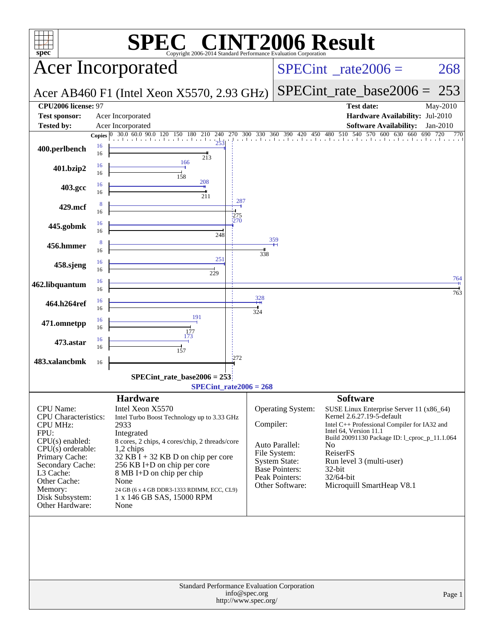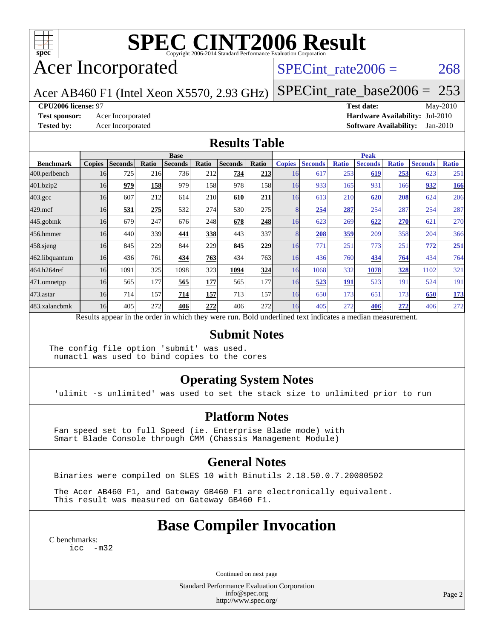

# **[SPEC CINT2006 Result](http://www.spec.org/auto/cpu2006/Docs/result-fields.html#SPECCINT2006Result)**

## Acer Incorporated

### SPECint rate $2006 = 268$

Acer AB460 F1 (Intel Xeon X5570, 2.93 GHz)

[SPECint\\_rate\\_base2006 =](http://www.spec.org/auto/cpu2006/Docs/result-fields.html#SPECintratebase2006) 253

#### **[CPU2006 license:](http://www.spec.org/auto/cpu2006/Docs/result-fields.html#CPU2006license)** 97 **[Test date:](http://www.spec.org/auto/cpu2006/Docs/result-fields.html#Testdate)** May-2010

**[Test sponsor:](http://www.spec.org/auto/cpu2006/Docs/result-fields.html#Testsponsor)** Acer Incorporated **[Hardware Availability:](http://www.spec.org/auto/cpu2006/Docs/result-fields.html#HardwareAvailability)** Jul-2010 **[Tested by:](http://www.spec.org/auto/cpu2006/Docs/result-fields.html#Testedby)** Acer Incorporated **[Software Availability:](http://www.spec.org/auto/cpu2006/Docs/result-fields.html#SoftwareAvailability)** Jan-2010

#### **[Results Table](http://www.spec.org/auto/cpu2006/Docs/result-fields.html#ResultsTable)**

|                    | <b>Base</b>   |                |                 |                                                                                                          |       |                |              |               | <b>Peak</b>    |              |                |              |                |              |  |
|--------------------|---------------|----------------|-----------------|----------------------------------------------------------------------------------------------------------|-------|----------------|--------------|---------------|----------------|--------------|----------------|--------------|----------------|--------------|--|
| <b>Benchmark</b>   | <b>Copies</b> | <b>Seconds</b> | Ratio           | <b>Seconds</b>                                                                                           | Ratio | <b>Seconds</b> | Ratio        | <b>Copies</b> | <b>Seconds</b> | <b>Ratio</b> | <b>Seconds</b> | <b>Ratio</b> | <b>Seconds</b> | <b>Ratio</b> |  |
| 400.perlbench      | 16            | 725            | 21 <sub>6</sub> | 736                                                                                                      | 212   | 734            | 213          | 16            | 617            | 253          | 619            | 253          | 623            | 251          |  |
| 401.bzip2          | 16            | 979            | 158             | 979                                                                                                      | 158   | 978            | 158          | 16            | 933            | 165          | 931            | 166          | 932            | 166          |  |
| $403.\mathrm{gcc}$ | 16            | 607            | 212             | 614                                                                                                      | 210   | 610            | 211          | 16            | 613            | 210          | 620            | 208          | 624            | 206          |  |
| $429$ .mcf         | 16            | 531            | 275             | 532                                                                                                      | 274   | 530            | 275          | 8             | 254            | 287          | 254            | 287          | 254            | 287          |  |
| $445$ .gobmk       | 16            | 679            | 247             | 676                                                                                                      | 248   | 678            | 248          | 16            | 623            | 269          | 622            | 270          | 621            | 270          |  |
| 456.hmmer          | 16            | 440            | 339             | 441                                                                                                      | 338   | 443            | 337l         | 8             | 208            | 359          | 209            | 358          | 204            | 366          |  |
| 458 sjeng          | 16            | 845            | 229             | 844                                                                                                      | 229   | 845            | 229          | 16            | 771            | 251          | 773            | 251          | 772            | <u>251</u>   |  |
| 462.libquantum     | 16            | 436            | 761             | 434                                                                                                      | 763   | 434            | 763          | 16            | 436            | 760          | 434            | 764          | 434            | 764          |  |
| 464.h264ref        | 16            | 1091           | 325             | 1098                                                                                                     | 323   | 1094           | 324          | 16            | 1068           | 332          | 1078           | 328          | 1102           | 321          |  |
| 471.omnetpp        | 16            | 565            | 177             | 565                                                                                                      | 177   | 565            | 177 <b>1</b> | 16            | 523            | <b>191</b>   | 523            | 191          | 524            | 191          |  |
| 473.astar          | 16            | 714            | 157             | 714                                                                                                      | 157   | 713            | 157          | 16            | 650            | 173          | 651            | 173          | 650            | <u>173</u>   |  |
| 483.xalancbmk      | 16            | 405            | 272             | 406                                                                                                      | 272   | 406            | 272l         | 16            | 405            | 272          | 406            | 272          | 406            | 272          |  |
|                    |               |                |                 | Results appear in the order in which they were run. Bold underlined text indicates a median measurement. |       |                |              |               |                |              |                |              |                |              |  |

#### **[Submit Notes](http://www.spec.org/auto/cpu2006/Docs/result-fields.html#SubmitNotes)**

The config file option 'submit' was used. numactl was used to bind copies to the cores

### **[Operating System Notes](http://www.spec.org/auto/cpu2006/Docs/result-fields.html#OperatingSystemNotes)**

'ulimit -s unlimited' was used to set the stack size to unlimited prior to run

#### **[Platform Notes](http://www.spec.org/auto/cpu2006/Docs/result-fields.html#PlatformNotes)**

 Fan speed set to full Speed (ie. Enterprise Blade mode) with Smart Blade Console through CMM (Chassis Management Module)

### **[General Notes](http://www.spec.org/auto/cpu2006/Docs/result-fields.html#GeneralNotes)**

Binaries were compiled on SLES 10 with Binutils 2.18.50.0.7.20080502

 The Acer AB460 F1, and Gateway GB460 F1 are electronically equivalent. This result was measured on Gateway GB460 F1.

## **[Base Compiler Invocation](http://www.spec.org/auto/cpu2006/Docs/result-fields.html#BaseCompilerInvocation)**

[C benchmarks](http://www.spec.org/auto/cpu2006/Docs/result-fields.html#Cbenchmarks): [icc -m32](http://www.spec.org/cpu2006/results/res2010q3/cpu2006-20100608-11655.flags.html#user_CCbase_intel_icc_32bit_5ff4a39e364c98233615fdd38438c6f2)

Continued on next page

Standard Performance Evaluation Corporation [info@spec.org](mailto:info@spec.org) <http://www.spec.org/>

Page 2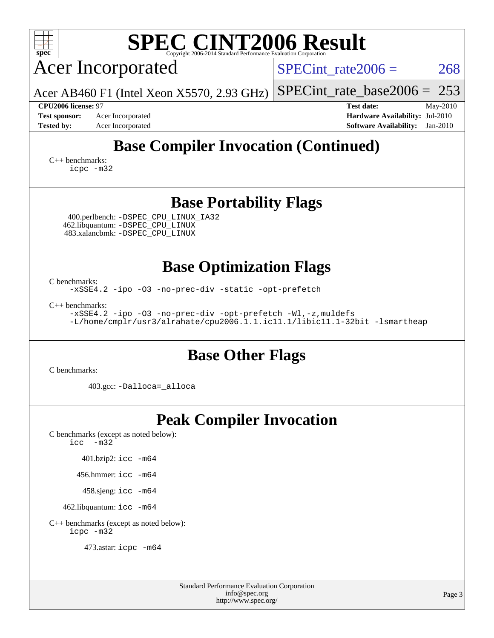| <b>SPEC CINT2006 Result</b><br>spec <sup>®</sup><br>Copyright 2006-2014 Standard Performance Evaluation Corporation                                                |                                                                                                                 |  |  |  |  |  |  |  |  |
|--------------------------------------------------------------------------------------------------------------------------------------------------------------------|-----------------------------------------------------------------------------------------------------------------|--|--|--|--|--|--|--|--|
| <b>Acer Incorporated</b>                                                                                                                                           | 268<br>SPECint rate $2006 =$                                                                                    |  |  |  |  |  |  |  |  |
| Acer AB460 F1 (Intel Xeon X5570, 2.93 GHz)                                                                                                                         | 253<br>$SPECint_rate base2006 =$                                                                                |  |  |  |  |  |  |  |  |
| <b>CPU2006 license: 97</b><br>Acer Incorporated<br><b>Test sponsor:</b><br><b>Tested by:</b><br>Acer Incorporated                                                  | <b>Test date:</b><br>May-2010<br>Hardware Availability: Jul-2010<br><b>Software Availability:</b><br>$Jan-2010$ |  |  |  |  |  |  |  |  |
| <b>Base Compiler Invocation (Continued)</b><br>$C_{++}$ benchmarks:<br>icpc -m32                                                                                   |                                                                                                                 |  |  |  |  |  |  |  |  |
| <b>Base Portability Flags</b>                                                                                                                                      |                                                                                                                 |  |  |  |  |  |  |  |  |
| 400.perlbench: -DSPEC_CPU_LINUX_IA32<br>462.libquantum: - DSPEC CPU LINUX<br>483.xalancbmk: - DSPEC CPU LINUX                                                      |                                                                                                                 |  |  |  |  |  |  |  |  |
| <b>Base Optimization Flags</b>                                                                                                                                     |                                                                                                                 |  |  |  |  |  |  |  |  |
| C benchmarks:<br>-xSSE4.2 -ipo -03 -no-prec-div -static -opt-prefetch                                                                                              |                                                                                                                 |  |  |  |  |  |  |  |  |
| $C_{++}$ benchmarks:<br>-xSSE4.2 -ipo -03 -no-prec-div -opt-prefetch -Wl,-z, muldefs<br>-L/home/cmplr/usr3/alrahate/cpu2006.1.1.ic11.1/libic11.1-32bit -lsmartheap |                                                                                                                 |  |  |  |  |  |  |  |  |
| <b>Base Other Flags</b>                                                                                                                                            |                                                                                                                 |  |  |  |  |  |  |  |  |
| C benchmarks:                                                                                                                                                      |                                                                                                                 |  |  |  |  |  |  |  |  |
| 403.gcc: -Dalloca=_alloca                                                                                                                                          |                                                                                                                 |  |  |  |  |  |  |  |  |
| <b>Peak Compiler Invocation</b><br>C benchmarks (except as noted below):<br>$\text{icc}$ $-\text{m32}$<br>$401.bzip2:$ icc $-m64$                                  |                                                                                                                 |  |  |  |  |  |  |  |  |
| 456.hmmer: $\text{icc}$ -m64                                                                                                                                       |                                                                                                                 |  |  |  |  |  |  |  |  |
| 458.sjeng: icc -m64                                                                                                                                                |                                                                                                                 |  |  |  |  |  |  |  |  |
| 462.libquantum: icc -m64                                                                                                                                           |                                                                                                                 |  |  |  |  |  |  |  |  |
| C++ benchmarks (except as noted below):<br>icpc -m32                                                                                                               |                                                                                                                 |  |  |  |  |  |  |  |  |
| 473.astar: icpc -m64                                                                                                                                               |                                                                                                                 |  |  |  |  |  |  |  |  |

Standard Performance Evaluation Corporation [info@spec.org](mailto:info@spec.org) <http://www.spec.org/>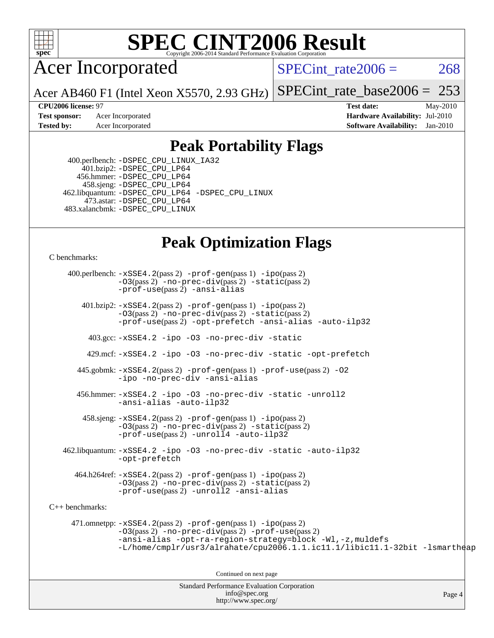

## **[SPEC CINT2006 Result](http://www.spec.org/auto/cpu2006/Docs/result-fields.html#SPECCINT2006Result)**

Acer Incorporated

SPECint rate $2006 = 268$ 

Acer AB460 F1 (Intel Xeon X5570, 2.93 GHz) [SPECint\\_rate\\_base2006 =](http://www.spec.org/auto/cpu2006/Docs/result-fields.html#SPECintratebase2006) 253

**[Test sponsor:](http://www.spec.org/auto/cpu2006/Docs/result-fields.html#Testsponsor)** Acer Incorporated **Acer Incorporated <b>[Hardware Availability:](http://www.spec.org/auto/cpu2006/Docs/result-fields.html#HardwareAvailability)** Jul-2010

**[CPU2006 license:](http://www.spec.org/auto/cpu2006/Docs/result-fields.html#CPU2006license)** 97 **[Test date:](http://www.spec.org/auto/cpu2006/Docs/result-fields.html#Testdate)** May-2010 **[Tested by:](http://www.spec.org/auto/cpu2006/Docs/result-fields.html#Testedby)** Acer Incorporated **[Software Availability:](http://www.spec.org/auto/cpu2006/Docs/result-fields.html#SoftwareAvailability)** Jan-2010

### **[Peak Portability Flags](http://www.spec.org/auto/cpu2006/Docs/result-fields.html#PeakPortabilityFlags)**

 400.perlbench: [-DSPEC\\_CPU\\_LINUX\\_IA32](http://www.spec.org/cpu2006/results/res2010q3/cpu2006-20100608-11655.flags.html#b400.perlbench_peakCPORTABILITY_DSPEC_CPU_LINUX_IA32) 401.bzip2: [-DSPEC\\_CPU\\_LP64](http://www.spec.org/cpu2006/results/res2010q3/cpu2006-20100608-11655.flags.html#suite_peakCPORTABILITY401_bzip2_DSPEC_CPU_LP64) 456.hmmer: [-DSPEC\\_CPU\\_LP64](http://www.spec.org/cpu2006/results/res2010q3/cpu2006-20100608-11655.flags.html#suite_peakCPORTABILITY456_hmmer_DSPEC_CPU_LP64) 458.sjeng: [-DSPEC\\_CPU\\_LP64](http://www.spec.org/cpu2006/results/res2010q3/cpu2006-20100608-11655.flags.html#suite_peakCPORTABILITY458_sjeng_DSPEC_CPU_LP64) 462.libquantum: [-DSPEC\\_CPU\\_LP64](http://www.spec.org/cpu2006/results/res2010q3/cpu2006-20100608-11655.flags.html#suite_peakCPORTABILITY462_libquantum_DSPEC_CPU_LP64) [-DSPEC\\_CPU\\_LINUX](http://www.spec.org/cpu2006/results/res2010q3/cpu2006-20100608-11655.flags.html#b462.libquantum_peakCPORTABILITY_DSPEC_CPU_LINUX) 473.astar: [-DSPEC\\_CPU\\_LP64](http://www.spec.org/cpu2006/results/res2010q3/cpu2006-20100608-11655.flags.html#suite_peakCXXPORTABILITY473_astar_DSPEC_CPU_LP64) 483.xalancbmk: [-DSPEC\\_CPU\\_LINUX](http://www.spec.org/cpu2006/results/res2010q3/cpu2006-20100608-11655.flags.html#b483.xalancbmk_peakCXXPORTABILITY_DSPEC_CPU_LINUX)

## **[Peak Optimization Flags](http://www.spec.org/auto/cpu2006/Docs/result-fields.html#PeakOptimizationFlags)**

[C benchmarks](http://www.spec.org/auto/cpu2006/Docs/result-fields.html#Cbenchmarks):

Standard Performance Evaluation Corporation 400.perlbench: [-xSSE4.2](http://www.spec.org/cpu2006/results/res2010q3/cpu2006-20100608-11655.flags.html#user_peakPASS2_CFLAGSPASS2_LDCFLAGS400_perlbench_f-xSSE42_f91528193cf0b216347adb8b939d4107)(pass 2) [-prof-gen](http://www.spec.org/cpu2006/results/res2010q3/cpu2006-20100608-11655.flags.html#user_peakPASS1_CFLAGSPASS1_LDCFLAGS400_perlbench_prof_gen_e43856698f6ca7b7e442dfd80e94a8fc)(pass 1) [-ipo](http://www.spec.org/cpu2006/results/res2010q3/cpu2006-20100608-11655.flags.html#user_peakPASS2_CFLAGSPASS2_LDCFLAGS400_perlbench_f-ipo)(pass 2) [-O3](http://www.spec.org/cpu2006/results/res2010q3/cpu2006-20100608-11655.flags.html#user_peakPASS2_CFLAGSPASS2_LDCFLAGS400_perlbench_f-O3)(pass 2) [-no-prec-div](http://www.spec.org/cpu2006/results/res2010q3/cpu2006-20100608-11655.flags.html#user_peakPASS2_CFLAGSPASS2_LDCFLAGS400_perlbench_f-no-prec-div)(pass 2) [-static](http://www.spec.org/cpu2006/results/res2010q3/cpu2006-20100608-11655.flags.html#user_peakPASS2_CFLAGSPASS2_LDCFLAGS400_perlbench_f-static)(pass 2) [-prof-use](http://www.spec.org/cpu2006/results/res2010q3/cpu2006-20100608-11655.flags.html#user_peakPASS2_CFLAGSPASS2_LDCFLAGS400_perlbench_prof_use_bccf7792157ff70d64e32fe3e1250b55)(pass 2) [-ansi-alias](http://www.spec.org/cpu2006/results/res2010q3/cpu2006-20100608-11655.flags.html#user_peakCOPTIMIZE400_perlbench_f-ansi-alias) 401.bzip2: [-xSSE4.2](http://www.spec.org/cpu2006/results/res2010q3/cpu2006-20100608-11655.flags.html#user_peakPASS2_CFLAGSPASS2_LDCFLAGS401_bzip2_f-xSSE42_f91528193cf0b216347adb8b939d4107)(pass 2) [-prof-gen](http://www.spec.org/cpu2006/results/res2010q3/cpu2006-20100608-11655.flags.html#user_peakPASS1_CFLAGSPASS1_LDCFLAGS401_bzip2_prof_gen_e43856698f6ca7b7e442dfd80e94a8fc)(pass 1) [-ipo](http://www.spec.org/cpu2006/results/res2010q3/cpu2006-20100608-11655.flags.html#user_peakPASS2_CFLAGSPASS2_LDCFLAGS401_bzip2_f-ipo)(pass 2) [-O3](http://www.spec.org/cpu2006/results/res2010q3/cpu2006-20100608-11655.flags.html#user_peakPASS2_CFLAGSPASS2_LDCFLAGS401_bzip2_f-O3)(pass 2) [-no-prec-div](http://www.spec.org/cpu2006/results/res2010q3/cpu2006-20100608-11655.flags.html#user_peakPASS2_CFLAGSPASS2_LDCFLAGS401_bzip2_f-no-prec-div)(pass 2) [-static](http://www.spec.org/cpu2006/results/res2010q3/cpu2006-20100608-11655.flags.html#user_peakPASS2_CFLAGSPASS2_LDCFLAGS401_bzip2_f-static)(pass 2) [-prof-use](http://www.spec.org/cpu2006/results/res2010q3/cpu2006-20100608-11655.flags.html#user_peakPASS2_CFLAGSPASS2_LDCFLAGS401_bzip2_prof_use_bccf7792157ff70d64e32fe3e1250b55)(pass 2) [-opt-prefetch](http://www.spec.org/cpu2006/results/res2010q3/cpu2006-20100608-11655.flags.html#user_peakCOPTIMIZE401_bzip2_f-opt-prefetch) [-ansi-alias](http://www.spec.org/cpu2006/results/res2010q3/cpu2006-20100608-11655.flags.html#user_peakCOPTIMIZE401_bzip2_f-ansi-alias) [-auto-ilp32](http://www.spec.org/cpu2006/results/res2010q3/cpu2006-20100608-11655.flags.html#user_peakCOPTIMIZE401_bzip2_f-auto-ilp32) 403.gcc: [-xSSE4.2](http://www.spec.org/cpu2006/results/res2010q3/cpu2006-20100608-11655.flags.html#user_peakCOPTIMIZE403_gcc_f-xSSE42_f91528193cf0b216347adb8b939d4107) [-ipo](http://www.spec.org/cpu2006/results/res2010q3/cpu2006-20100608-11655.flags.html#user_peakCOPTIMIZE403_gcc_f-ipo) [-O3](http://www.spec.org/cpu2006/results/res2010q3/cpu2006-20100608-11655.flags.html#user_peakCOPTIMIZE403_gcc_f-O3) [-no-prec-div](http://www.spec.org/cpu2006/results/res2010q3/cpu2006-20100608-11655.flags.html#user_peakCOPTIMIZE403_gcc_f-no-prec-div) [-static](http://www.spec.org/cpu2006/results/res2010q3/cpu2006-20100608-11655.flags.html#user_peakCOPTIMIZE403_gcc_f-static) 429.mcf: [-xSSE4.2](http://www.spec.org/cpu2006/results/res2010q3/cpu2006-20100608-11655.flags.html#user_peakCOPTIMIZE429_mcf_f-xSSE42_f91528193cf0b216347adb8b939d4107) [-ipo](http://www.spec.org/cpu2006/results/res2010q3/cpu2006-20100608-11655.flags.html#user_peakCOPTIMIZE429_mcf_f-ipo) [-O3](http://www.spec.org/cpu2006/results/res2010q3/cpu2006-20100608-11655.flags.html#user_peakCOPTIMIZE429_mcf_f-O3) [-no-prec-div](http://www.spec.org/cpu2006/results/res2010q3/cpu2006-20100608-11655.flags.html#user_peakCOPTIMIZE429_mcf_f-no-prec-div) [-static](http://www.spec.org/cpu2006/results/res2010q3/cpu2006-20100608-11655.flags.html#user_peakCOPTIMIZE429_mcf_f-static) [-opt-prefetch](http://www.spec.org/cpu2006/results/res2010q3/cpu2006-20100608-11655.flags.html#user_peakCOPTIMIZE429_mcf_f-opt-prefetch) 445.gobmk: [-xSSE4.2](http://www.spec.org/cpu2006/results/res2010q3/cpu2006-20100608-11655.flags.html#user_peakPASS2_CFLAGSPASS2_LDCFLAGS445_gobmk_f-xSSE42_f91528193cf0b216347adb8b939d4107)(pass 2) [-prof-gen](http://www.spec.org/cpu2006/results/res2010q3/cpu2006-20100608-11655.flags.html#user_peakPASS1_CFLAGSPASS1_LDCFLAGS445_gobmk_prof_gen_e43856698f6ca7b7e442dfd80e94a8fc)(pass 1) [-prof-use](http://www.spec.org/cpu2006/results/res2010q3/cpu2006-20100608-11655.flags.html#user_peakPASS2_CFLAGSPASS2_LDCFLAGS445_gobmk_prof_use_bccf7792157ff70d64e32fe3e1250b55)(pass 2) [-O2](http://www.spec.org/cpu2006/results/res2010q3/cpu2006-20100608-11655.flags.html#user_peakCOPTIMIZE445_gobmk_f-O2) [-ipo](http://www.spec.org/cpu2006/results/res2010q3/cpu2006-20100608-11655.flags.html#user_peakCOPTIMIZE445_gobmk_f-ipo) [-no-prec-div](http://www.spec.org/cpu2006/results/res2010q3/cpu2006-20100608-11655.flags.html#user_peakCOPTIMIZE445_gobmk_f-no-prec-div) [-ansi-alias](http://www.spec.org/cpu2006/results/res2010q3/cpu2006-20100608-11655.flags.html#user_peakCOPTIMIZE445_gobmk_f-ansi-alias) 456.hmmer: [-xSSE4.2](http://www.spec.org/cpu2006/results/res2010q3/cpu2006-20100608-11655.flags.html#user_peakCOPTIMIZE456_hmmer_f-xSSE42_f91528193cf0b216347adb8b939d4107) [-ipo](http://www.spec.org/cpu2006/results/res2010q3/cpu2006-20100608-11655.flags.html#user_peakCOPTIMIZE456_hmmer_f-ipo) [-O3](http://www.spec.org/cpu2006/results/res2010q3/cpu2006-20100608-11655.flags.html#user_peakCOPTIMIZE456_hmmer_f-O3) [-no-prec-div](http://www.spec.org/cpu2006/results/res2010q3/cpu2006-20100608-11655.flags.html#user_peakCOPTIMIZE456_hmmer_f-no-prec-div) [-static](http://www.spec.org/cpu2006/results/res2010q3/cpu2006-20100608-11655.flags.html#user_peakCOPTIMIZE456_hmmer_f-static) [-unroll2](http://www.spec.org/cpu2006/results/res2010q3/cpu2006-20100608-11655.flags.html#user_peakCOPTIMIZE456_hmmer_f-unroll_784dae83bebfb236979b41d2422d7ec2) [-ansi-alias](http://www.spec.org/cpu2006/results/res2010q3/cpu2006-20100608-11655.flags.html#user_peakCOPTIMIZE456_hmmer_f-ansi-alias) [-auto-ilp32](http://www.spec.org/cpu2006/results/res2010q3/cpu2006-20100608-11655.flags.html#user_peakCOPTIMIZE456_hmmer_f-auto-ilp32) 458.sjeng: [-xSSE4.2](http://www.spec.org/cpu2006/results/res2010q3/cpu2006-20100608-11655.flags.html#user_peakPASS2_CFLAGSPASS2_LDCFLAGS458_sjeng_f-xSSE42_f91528193cf0b216347adb8b939d4107)(pass 2) [-prof-gen](http://www.spec.org/cpu2006/results/res2010q3/cpu2006-20100608-11655.flags.html#user_peakPASS1_CFLAGSPASS1_LDCFLAGS458_sjeng_prof_gen_e43856698f6ca7b7e442dfd80e94a8fc)(pass 1) [-ipo](http://www.spec.org/cpu2006/results/res2010q3/cpu2006-20100608-11655.flags.html#user_peakPASS2_CFLAGSPASS2_LDCFLAGS458_sjeng_f-ipo)(pass 2) [-O3](http://www.spec.org/cpu2006/results/res2010q3/cpu2006-20100608-11655.flags.html#user_peakPASS2_CFLAGSPASS2_LDCFLAGS458_sjeng_f-O3)(pass 2) [-no-prec-div](http://www.spec.org/cpu2006/results/res2010q3/cpu2006-20100608-11655.flags.html#user_peakPASS2_CFLAGSPASS2_LDCFLAGS458_sjeng_f-no-prec-div)(pass 2) [-static](http://www.spec.org/cpu2006/results/res2010q3/cpu2006-20100608-11655.flags.html#user_peakPASS2_CFLAGSPASS2_LDCFLAGS458_sjeng_f-static)(pass 2) [-prof-use](http://www.spec.org/cpu2006/results/res2010q3/cpu2006-20100608-11655.flags.html#user_peakPASS2_CFLAGSPASS2_LDCFLAGS458_sjeng_prof_use_bccf7792157ff70d64e32fe3e1250b55)(pass 2) [-unroll4](http://www.spec.org/cpu2006/results/res2010q3/cpu2006-20100608-11655.flags.html#user_peakCOPTIMIZE458_sjeng_f-unroll_4e5e4ed65b7fd20bdcd365bec371b81f) [-auto-ilp32](http://www.spec.org/cpu2006/results/res2010q3/cpu2006-20100608-11655.flags.html#user_peakCOPTIMIZE458_sjeng_f-auto-ilp32) 462.libquantum: [-xSSE4.2](http://www.spec.org/cpu2006/results/res2010q3/cpu2006-20100608-11655.flags.html#user_peakCOPTIMIZE462_libquantum_f-xSSE42_f91528193cf0b216347adb8b939d4107) [-ipo](http://www.spec.org/cpu2006/results/res2010q3/cpu2006-20100608-11655.flags.html#user_peakCOPTIMIZE462_libquantum_f-ipo) [-O3](http://www.spec.org/cpu2006/results/res2010q3/cpu2006-20100608-11655.flags.html#user_peakCOPTIMIZE462_libquantum_f-O3) [-no-prec-div](http://www.spec.org/cpu2006/results/res2010q3/cpu2006-20100608-11655.flags.html#user_peakCOPTIMIZE462_libquantum_f-no-prec-div) [-static](http://www.spec.org/cpu2006/results/res2010q3/cpu2006-20100608-11655.flags.html#user_peakCOPTIMIZE462_libquantum_f-static) [-auto-ilp32](http://www.spec.org/cpu2006/results/res2010q3/cpu2006-20100608-11655.flags.html#user_peakCOPTIMIZE462_libquantum_f-auto-ilp32) [-opt-prefetch](http://www.spec.org/cpu2006/results/res2010q3/cpu2006-20100608-11655.flags.html#user_peakCOPTIMIZE462_libquantum_f-opt-prefetch) 464.h264ref: [-xSSE4.2](http://www.spec.org/cpu2006/results/res2010q3/cpu2006-20100608-11655.flags.html#user_peakPASS2_CFLAGSPASS2_LDCFLAGS464_h264ref_f-xSSE42_f91528193cf0b216347adb8b939d4107)(pass 2) [-prof-gen](http://www.spec.org/cpu2006/results/res2010q3/cpu2006-20100608-11655.flags.html#user_peakPASS1_CFLAGSPASS1_LDCFLAGS464_h264ref_prof_gen_e43856698f6ca7b7e442dfd80e94a8fc)(pass 1) [-ipo](http://www.spec.org/cpu2006/results/res2010q3/cpu2006-20100608-11655.flags.html#user_peakPASS2_CFLAGSPASS2_LDCFLAGS464_h264ref_f-ipo)(pass 2) [-O3](http://www.spec.org/cpu2006/results/res2010q3/cpu2006-20100608-11655.flags.html#user_peakPASS2_CFLAGSPASS2_LDCFLAGS464_h264ref_f-O3)(pass 2) [-no-prec-div](http://www.spec.org/cpu2006/results/res2010q3/cpu2006-20100608-11655.flags.html#user_peakPASS2_CFLAGSPASS2_LDCFLAGS464_h264ref_f-no-prec-div)(pass 2) [-static](http://www.spec.org/cpu2006/results/res2010q3/cpu2006-20100608-11655.flags.html#user_peakPASS2_CFLAGSPASS2_LDCFLAGS464_h264ref_f-static)(pass 2) [-prof-use](http://www.spec.org/cpu2006/results/res2010q3/cpu2006-20100608-11655.flags.html#user_peakPASS2_CFLAGSPASS2_LDCFLAGS464_h264ref_prof_use_bccf7792157ff70d64e32fe3e1250b55)(pass 2) [-unroll2](http://www.spec.org/cpu2006/results/res2010q3/cpu2006-20100608-11655.flags.html#user_peakCOPTIMIZE464_h264ref_f-unroll_784dae83bebfb236979b41d2422d7ec2) [-ansi-alias](http://www.spec.org/cpu2006/results/res2010q3/cpu2006-20100608-11655.flags.html#user_peakCOPTIMIZE464_h264ref_f-ansi-alias) [C++ benchmarks:](http://www.spec.org/auto/cpu2006/Docs/result-fields.html#CXXbenchmarks) 471.omnetpp: [-xSSE4.2](http://www.spec.org/cpu2006/results/res2010q3/cpu2006-20100608-11655.flags.html#user_peakPASS2_CXXFLAGSPASS2_LDCXXFLAGS471_omnetpp_f-xSSE42_f91528193cf0b216347adb8b939d4107)(pass 2) [-prof-gen](http://www.spec.org/cpu2006/results/res2010q3/cpu2006-20100608-11655.flags.html#user_peakPASS1_CXXFLAGSPASS1_LDCXXFLAGS471_omnetpp_prof_gen_e43856698f6ca7b7e442dfd80e94a8fc)(pass 1) [-ipo](http://www.spec.org/cpu2006/results/res2010q3/cpu2006-20100608-11655.flags.html#user_peakPASS2_CXXFLAGSPASS2_LDCXXFLAGS471_omnetpp_f-ipo)(pass 2) [-O3](http://www.spec.org/cpu2006/results/res2010q3/cpu2006-20100608-11655.flags.html#user_peakPASS2_CXXFLAGSPASS2_LDCXXFLAGS471_omnetpp_f-O3)(pass 2) [-no-prec-div](http://www.spec.org/cpu2006/results/res2010q3/cpu2006-20100608-11655.flags.html#user_peakPASS2_CXXFLAGSPASS2_LDCXXFLAGS471_omnetpp_f-no-prec-div)(pass 2) [-prof-use](http://www.spec.org/cpu2006/results/res2010q3/cpu2006-20100608-11655.flags.html#user_peakPASS2_CXXFLAGSPASS2_LDCXXFLAGS471_omnetpp_prof_use_bccf7792157ff70d64e32fe3e1250b55)(pass 2) [-ansi-alias](http://www.spec.org/cpu2006/results/res2010q3/cpu2006-20100608-11655.flags.html#user_peakCXXOPTIMIZE471_omnetpp_f-ansi-alias) [-opt-ra-region-strategy=block](http://www.spec.org/cpu2006/results/res2010q3/cpu2006-20100608-11655.flags.html#user_peakCXXOPTIMIZE471_omnetpp_f-opt-ra-region-strategy-block_a0a37c372d03933b2a18d4af463c1f69) [-Wl,-z,muldefs](http://www.spec.org/cpu2006/results/res2010q3/cpu2006-20100608-11655.flags.html#user_peakEXTRA_LDFLAGS471_omnetpp_link_force_multiple1_74079c344b956b9658436fd1b6dd3a8a) [-L/home/cmplr/usr3/alrahate/cpu2006.1.1.ic11.1/libic11.1-32bit -lsmartheap](http://www.spec.org/cpu2006/results/res2010q3/cpu2006-20100608-11655.flags.html#user_peakEXTRA_LIBS471_omnetpp_SmartHeap_d86dffe4a79b79ef8890d5cce17030c3) Continued on next page

[info@spec.org](mailto:info@spec.org) <http://www.spec.org/>

Page 4